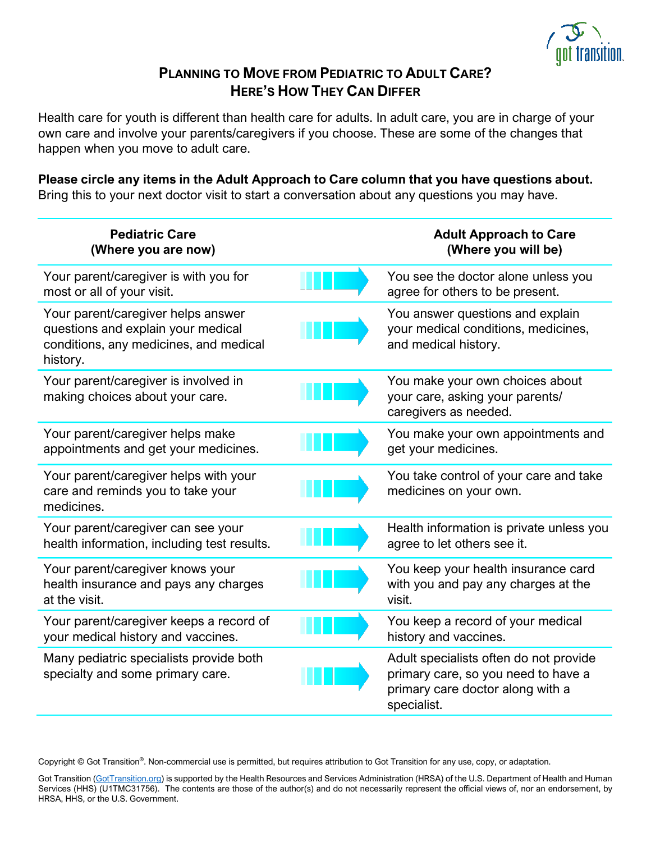

# **PLANNING TO MOVE FROM PEDIATRIC TO ADULT CARE? HERE'S HOW THEY CAN DIFFER**

Health care for youth is different than health care for adults. In adult care, you are in charge of your own care and involve your parents/caregivers if you choose. These are some of the changes that happen when you move to adult care.

**Please circle any items in the Adult Approach to Care column that you have questions about.** Bring this to your next doctor visit to start a conversation about any questions you may have.

| <b>Pediatric Care</b><br>(Where you are now)                                                                                   | <b>Adult Approach to Care</b><br>(Where you will be)                                                                             |
|--------------------------------------------------------------------------------------------------------------------------------|----------------------------------------------------------------------------------------------------------------------------------|
| Your parent/caregiver is with you for<br>most or all of your visit.                                                            | You see the doctor alone unless you<br>agree for others to be present.                                                           |
| Your parent/caregiver helps answer<br>questions and explain your medical<br>conditions, any medicines, and medical<br>history. | You answer questions and explain<br>your medical conditions, medicines,<br>and medical history.                                  |
| Your parent/caregiver is involved in<br>making choices about your care.                                                        | You make your own choices about<br>your care, asking your parents/<br>caregivers as needed.                                      |
| Your parent/caregiver helps make<br>appointments and get your medicines.                                                       | You make your own appointments and<br>get your medicines.                                                                        |
| Your parent/caregiver helps with your<br>care and reminds you to take your<br>medicines.                                       | You take control of your care and take<br>medicines on your own.                                                                 |
| Your parent/caregiver can see your<br>health information, including test results.                                              | Health information is private unless you<br>agree to let others see it.                                                          |
| Your parent/caregiver knows your<br>health insurance and pays any charges<br>at the visit.                                     | You keep your health insurance card<br>with you and pay any charges at the<br>visit.                                             |
| Your parent/caregiver keeps a record of<br>your medical history and vaccines.                                                  | You keep a record of your medical<br>history and vaccines.                                                                       |
| Many pediatric specialists provide both<br>specialty and some primary care.                                                    | Adult specialists often do not provide<br>primary care, so you need to have a<br>primary care doctor along with a<br>specialist. |

Copyright © Got Transition®. Non-commercial use is permitted, but requires attribution to Got Transition for any use, copy, or adaptation.

Got Transition [\(GotTransition.org\)](file:///C:/Users/Jodi%20Shorr/Desktop/Desktop%20Docs/GotTransition.org) is supported by the Health Resources and Services Administration (HRSA) of the U.S. Department of Health and Human Services (HHS) (U1TMC31756). The contents are those of the author(s) and do not necessarily represent the official views of, nor an endorsement, by HRSA, HHS, or the U.S. Government.